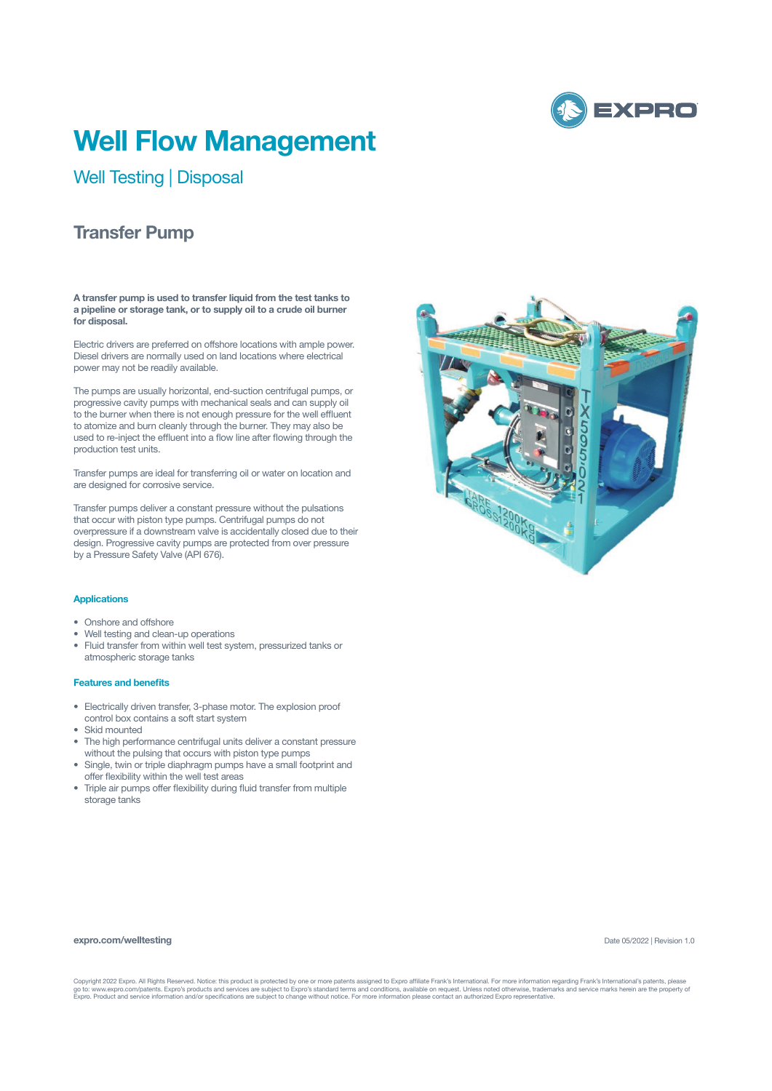

# **Well Flow Management**

Well Testing | Disposal

## **Transfer Pump**

**A transfer pump is used to transfer liquid from the test tanks to a pipeline or storage tank, or to supply oil to a crude oil burner for disposal.**

Electric drivers are preferred on offshore locations with ample power. Diesel drivers are normally used on land locations where electrical power may not be readily available.

The pumps are usually horizontal, end-suction centrifugal pumps, or progressive cavity pumps with mechanical seals and can supply oil to the burner when there is not enough pressure for the well effluent to atomize and burn cleanly through the burner. They may also be used to re-inject the effluent into a flow line after flowing through the production test units.

Transfer pumps are ideal for transferring oil or water on location and are designed for corrosive service.

Transfer pumps deliver a constant pressure without the pulsations that occur with piston type pumps. Centrifugal pumps do not overpressure if a downstream valve is accidentally closed due to their design. Progressive cavity pumps are protected from over pressure by a Pressure Safety Valve (API 676).

#### **Applications**

- Onshore and offshore
- Well testing and clean-up operations
- Fluid transfer from within well test system, pressurized tanks or atmospheric storage tanks

#### **Features and benefits**

- Electrically driven transfer, 3-phase motor. The explosion proof control box contains a soft start system
- Skid mounted
- The high performance centrifugal units deliver a constant pressure without the pulsing that occurs with piston type pumps
- Single, twin or triple diaphragm pumps have a small footprint and offer flexibility within the well test areas
- Triple air pumps offer flexibility during fluid transfer from multiple storage tanks

### **expro.com/welltesting**

Date 05/2022 | Revision 1.0

Copyright 2022 Expro. All Rights Reserved. Notice: this product is protected by one or more patents assigned to Expro affiliate Frank's International. For more information regarding Frank's International's patents, please<br>